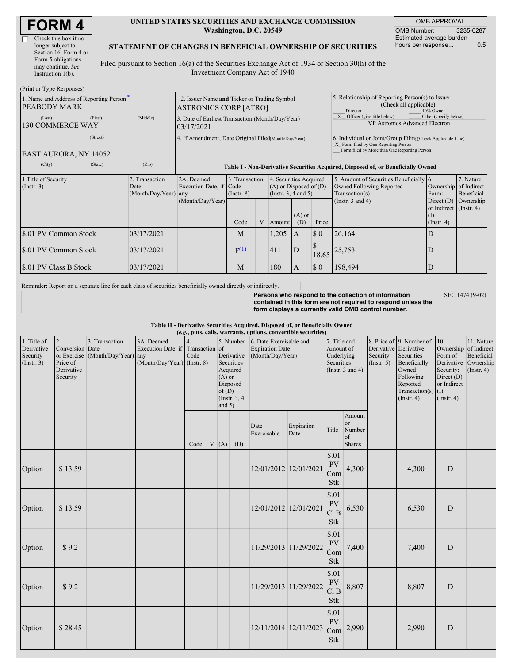| <b>FORM4</b> |
|--------------|
|--------------|

 $\Box$ 

#### **UNITED STATES SECURITIES AND EXCHANGE COMMISSION Washington, D.C. 20549**

OMB APPROVAL OMB Number: 3235-0287 Estimated average burden hours per response... 0.5

#### **STATEMENT OF CHANGES IN BENEFICIAL OWNERSHIP OF SECURITIES**

Filed pursuant to Section 16(a) of the Securities Exchange Act of 1934 or Section 30(h) of the Investment Company Act of 1940

| (Print or Type Responses)                                |          |                                                                             |                                                                                  |                                   |                                                                                  |        |                                                                                                     |                                                                                                                                                    |                                                                                       |                                                                         |           |  |
|----------------------------------------------------------|----------|-----------------------------------------------------------------------------|----------------------------------------------------------------------------------|-----------------------------------|----------------------------------------------------------------------------------|--------|-----------------------------------------------------------------------------------------------------|----------------------------------------------------------------------------------------------------------------------------------------------------|---------------------------------------------------------------------------------------|-------------------------------------------------------------------------|-----------|--|
| 1. Name and Address of Reporting Person-<br>PEABODY MARK |          | 2. Issuer Name and Ticker or Trading Symbol<br><b>ASTRONICS CORP [ATRO]</b> |                                                                                  |                                   |                                                                                  |        | 5. Relationship of Reporting Person(s) to Issuer<br>(Check all applicable)<br>10% Owner<br>Director |                                                                                                                                                    |                                                                                       |                                                                         |           |  |
| (Last)<br><b>130 COMMERCE WAY</b>                        | (First)  | (Middle)                                                                    | 3. Date of Earliest Transaction (Month/Day/Year)<br>03/17/2021                   |                                   |                                                                                  |        |                                                                                                     |                                                                                                                                                    | Other (specify below)<br>Officer (give title below)<br>VP Astronics Advanced Electron |                                                                         |           |  |
| <b>EAST AURORA, NY 14052</b>                             | (Street) | 4. If Amendment, Date Original Filed(Month/Day/Year)                        |                                                                                  |                                   |                                                                                  |        |                                                                                                     | 6. Individual or Joint/Group Filing Check Applicable Line)<br>X Form filed by One Reporting Person<br>Form filed by More than One Reporting Person |                                                                                       |                                                                         |           |  |
| (City)                                                   | (State)  | (Zip)                                                                       | Table I - Non-Derivative Securities Acquired, Disposed of, or Beneficially Owned |                                   |                                                                                  |        |                                                                                                     |                                                                                                                                                    |                                                                                       |                                                                         |           |  |
| 1. Title of Security<br>$($ Instr. 3 $)$                 |          | 2. Transaction<br>Date<br>(Month/Day/Year) any                              | 2A. Deemed<br>Execution Date, if Code                                            | 3. Transaction<br>$($ Instr. $8)$ | 4. Securities Acquired<br>$(A)$ or Disposed of $(D)$<br>(Instr. $3, 4$ and $5$ ) |        |                                                                                                     | 5. Amount of Securities Beneficially 6.<br>Owned Following Reported<br>Transaction(s)                                                              | Ownership of Indirect<br>Form:                                                        | 7. Nature<br>Beneficial                                                 |           |  |
|                                                          |          |                                                                             | (Month/Day/Year)                                                                 | Code                              | V                                                                                | Amount | $(A)$ or<br>(D)                                                                                     | Price                                                                                                                                              | (Instr. $3$ and $4$ )                                                                 | Direct $(D)$<br>or Indirect $($ Instr. 4 $)$<br>$\rm(I)$<br>(Insert. 4) | Ownership |  |
| \$.01 PV Common Stock                                    |          | 03/17/2021                                                                  |                                                                                  | M                                 |                                                                                  | 1,205  | A                                                                                                   | $\boldsymbol{\mathsf{S}}$ 0                                                                                                                        | 26,164                                                                                | D                                                                       |           |  |
| \$.01 PV Common Stock                                    |          | 03/17/2021                                                                  |                                                                                  | $F^{(1)}$                         |                                                                                  | 411    | ${\bf D}$                                                                                           | 18.65                                                                                                                                              | 25,753                                                                                | D                                                                       |           |  |
| \$.01 PV Class B Stock                                   |          | 03/17/2021                                                                  |                                                                                  | M                                 |                                                                                  | 180    | $\mathbf{A}$                                                                                        | $\sqrt{50}$                                                                                                                                        | 198,494                                                                               | D                                                                       |           |  |

Reminder: Report on a separate line for each class of securities beneficially owned directly or indirectly.

**Persons who respond to the collection of information contained in this form are not required to respond unless the form displays a currently valid OMB control number.**

SEC 1474 (9-02)

**Table II - Derivative Securities Acquired, Disposed of, or Beneficially Owned**

| (e.g., puts, calls, warrants, options, convertible securities) |                                                                            |                                        |                                                                                |      |  |                               |                                                                                |                                                                       |                       |                                                                |                                               |                                                                                                                                                                             |       |                                                                                                      |                                                                                               |
|----------------------------------------------------------------|----------------------------------------------------------------------------|----------------------------------------|--------------------------------------------------------------------------------|------|--|-------------------------------|--------------------------------------------------------------------------------|-----------------------------------------------------------------------|-----------------------|----------------------------------------------------------------|-----------------------------------------------|-----------------------------------------------------------------------------------------------------------------------------------------------------------------------------|-------|------------------------------------------------------------------------------------------------------|-----------------------------------------------------------------------------------------------|
| 1. Title of<br>Derivative<br>Security<br>(Insert. 3)           | 2.<br>Conversion Date<br>or Exercise<br>Price of<br>Derivative<br>Security | 3. Transaction<br>(Month/Day/Year) any | 3A. Deemed<br>Execution Date, if Transaction of<br>(Month/Day/Year) (Instr. 8) | Code |  | $(A)$ or<br>of(D)<br>and $5)$ | 5. Number<br>Derivative<br>Securities<br>Acquired<br>Disposed<br>(Instr. 3, 4, | 6. Date Exercisable and<br><b>Expiration Date</b><br>(Month/Day/Year) |                       | Amount of<br>Underlying<br>Securities<br>(Instr. $3$ and $4$ ) |                                               | 8. Price of 9. Number of<br>7. Title and<br>Derivative Derivative<br>Securities<br>Security<br>Beneficially<br>(Insert. 5)<br>Owned<br>Following<br>Reported<br>(Insert. 4) |       | 10.<br>Form of<br>Security:<br>Direct (D)<br>or Indirect<br>Transaction(s) $(I)$<br>$($ Instr. 4 $)$ | 11. Nature<br>Ownership of Indirect<br>Beneficial<br>Derivative Ownership<br>$($ Instr. 4 $)$ |
|                                                                |                                                                            |                                        |                                                                                | Code |  | V(A)                          | (D)                                                                            | Date<br>Exercisable                                                   | Expiration<br>Date    | Title                                                          | Amount<br>or<br>Number<br>of<br><b>Shares</b> |                                                                                                                                                                             |       |                                                                                                      |                                                                                               |
| Option                                                         | \$13.59                                                                    |                                        |                                                                                |      |  |                               |                                                                                |                                                                       | 12/01/2012 12/01/2021 | \$.01<br><b>PV</b><br>Com<br><b>Stk</b>                        | 4,300                                         |                                                                                                                                                                             | 4,300 | D                                                                                                    |                                                                                               |
| Option                                                         | \$13.59                                                                    |                                        |                                                                                |      |  |                               |                                                                                | 12/01/2012 12/01/2021                                                 |                       | \$.01<br>PV<br>Cl <sub>B</sub><br><b>Stk</b>                   | 6,530                                         |                                                                                                                                                                             | 6,530 | D                                                                                                    |                                                                                               |
| Option                                                         | \$9.2                                                                      |                                        |                                                                                |      |  |                               |                                                                                |                                                                       | 11/29/2013 11/29/2022 | \$.01<br>PV<br>Com<br><b>Stk</b>                               | 7,400                                         |                                                                                                                                                                             | 7,400 | ${\bf D}$                                                                                            |                                                                                               |
| Option                                                         | \$9.2                                                                      |                                        |                                                                                |      |  |                               |                                                                                |                                                                       | 11/29/2013 11/29/2022 | \$.01<br><b>PV</b><br>Cl <sub>B</sub><br><b>Stk</b>            | 8,807                                         |                                                                                                                                                                             | 8,807 | ${\bf D}$                                                                                            |                                                                                               |
| Option                                                         | \$28.45                                                                    |                                        |                                                                                |      |  |                               |                                                                                |                                                                       | 12/11/2014 12/11/2023 | \$.01<br><b>PV</b><br>Com<br><b>Stk</b>                        | 2,990                                         |                                                                                                                                                                             | 2,990 | D                                                                                                    |                                                                                               |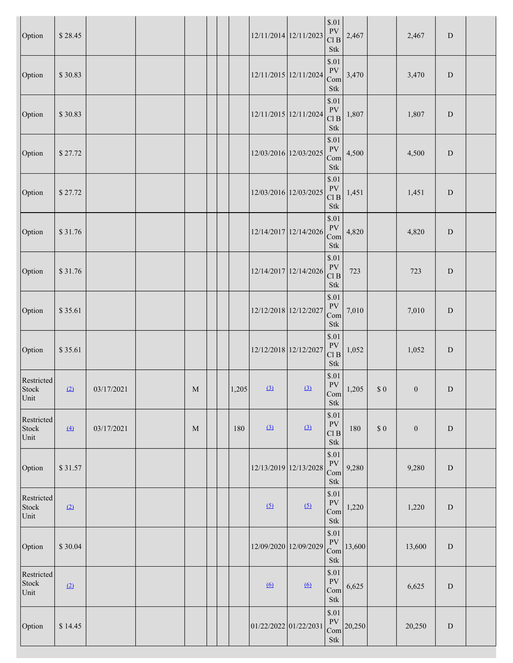| Option                                                                                                     | \$28.45           |            |             |       |                       | 12/11/2014 12/11/2023 | $\$.01$<br>${\rm PV}$<br>Cl <sub>B</sub><br><b>Stk</b>                                                                                                            | 2,467  |        | 2,467            | ${\rm D}$ |  |
|------------------------------------------------------------------------------------------------------------|-------------------|------------|-------------|-------|-----------------------|-----------------------|-------------------------------------------------------------------------------------------------------------------------------------------------------------------|--------|--------|------------------|-----------|--|
| Option                                                                                                     | \$30.83           |            |             |       |                       | 12/11/2015 12/11/2024 | \$.01<br>${\rm PV}$<br>Com<br><b>Stk</b>                                                                                                                          | 3,470  |        | 3,470            | ${\rm D}$ |  |
| Option                                                                                                     | \$30.83           |            |             |       |                       | 12/11/2015 12/11/2024 | \$.01<br>PV<br>Cl B<br>Stk                                                                                                                                        | 1,807  |        | 1,807            | ${\rm D}$ |  |
| Option                                                                                                     | \$27.72           |            |             |       |                       | 12/03/2016 12/03/2025 | $\$.01$<br>PV<br>Com<br><b>Stk</b>                                                                                                                                | 4,500  |        | 4,500            | ${\rm D}$ |  |
| Option                                                                                                     | \$27.72           |            |             |       |                       | 12/03/2016 12/03/2025 | \$.01<br><b>PV</b><br>Cl B<br>Stk                                                                                                                                 | 1,451  |        | 1,451            | ${\bf D}$ |  |
| Option                                                                                                     | \$31.76           |            |             |       |                       | 12/14/2017 12/14/2026 | \$.01<br>PV<br>Com<br>Stk                                                                                                                                         | 4,820  |        | 4,820            | ${\rm D}$ |  |
| Option                                                                                                     | \$31.76           |            |             |       |                       | 12/14/2017 12/14/2026 | $\$.01$<br>${\rm PV}$<br>Cl B<br>Stk                                                                                                                              | 723    |        | 723              | ${\bf D}$ |  |
| Option                                                                                                     | \$35.61           |            |             |       |                       | 12/12/2018 12/12/2027 | \$.01<br>${\rm PV}$<br>Com<br>Stk                                                                                                                                 | 7,010  |        | 7,010            | ${\bf D}$ |  |
| Option                                                                                                     | \$35.61           |            |             |       | 12/12/2018 12/12/2027 |                       | \$.01<br>PV<br>Cl B<br><b>Stk</b>                                                                                                                                 | 1,052  |        | 1,052            | ${\rm D}$ |  |
| Restricted<br>$\operatorname*{Stock}% \left( X\right) \equiv\operatorname*{Stock}(\mathbb{R}^{2})$<br>Unit | (2)               | 03/17/2021 | $\mathbf M$ | 1,205 | (3)                   | (3)                   | \$.01<br>PV<br>Com<br>$\operatorname*{Stk}% \nolimits_{\mathbb{Z}}\left( \mathbb{Z}^{\Sigma\left( 1\right) }% ,\mathbb{Z}^{\Sigma\left( 2\right) }\right)$        | 1,205  | $\$$ 0 | $\boldsymbol{0}$ | ${\rm D}$ |  |
| Restricted<br>Stock<br>Unit                                                                                | $\underline{(4)}$ | 03/17/2021 | M           | 180   | (3)                   | (3)                   | \$.01<br>${\rm PV}$<br>Cl B<br>Stk                                                                                                                                | 180    | $\$$ 0 | $\boldsymbol{0}$ | ${\bf D}$ |  |
| Option                                                                                                     | \$31.57           |            |             |       |                       | 12/13/2019 12/13/2028 | \$.01<br>${\rm PV}$<br>Com<br>Stk                                                                                                                                 | 9,280  |        | 9,280            | ${\bf D}$ |  |
| Restricted<br>Stock<br>Unit                                                                                | (2)               |            |             |       | (5)                   | (5)                   | \$.01<br>${\rm PV}$<br>Com<br>Stk                                                                                                                                 | 1,220  |        | 1,220            | ${\bf D}$ |  |
| Option                                                                                                     | \$30.04           |            |             |       |                       | 12/09/2020 12/09/2029 | \$.01<br>${\rm PV}$<br>Com<br><b>Stk</b>                                                                                                                          | 13,600 |        | 13,600           | ${\bf D}$ |  |
| Restricted<br>Stock<br>Unit                                                                                | (2)               |            |             |       | 6                     | 6                     | \$.01<br><b>PV</b><br>Com<br>$\operatorname*{Stk}% \nolimits_{\mathbb{Z}}\left( \mathbb{Z}^{\Sigma\left( 1\right) }% ,\mathbb{Z}^{\Sigma\left( 2\right) }\right)$ | 6,625  |        | 6,625            | ${\bf D}$ |  |
| Option                                                                                                     | \$14.45           |            |             |       | 01/22/2022 01/22/2031 |                       | \$.01<br>PV<br>Com<br>Stk                                                                                                                                         | 20,250 |        | 20,250           | ${\rm D}$ |  |